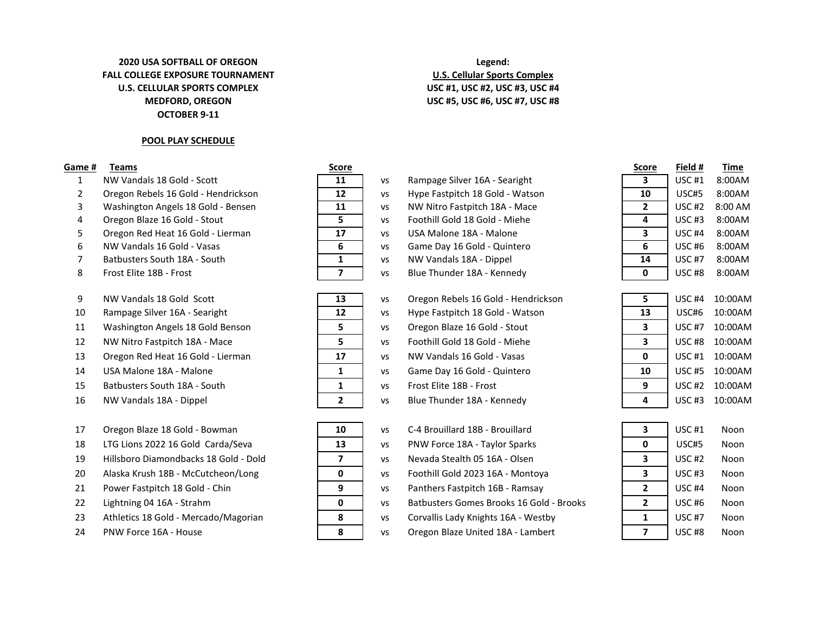## **MEDFORD, OREGON OCTOBER 9-11 2020 USA SOFTBALL OF OREGON Legend: FALL COLLEGE EXPOSURE TOURNAMENT U.S. Cellular Sports Complex U.S. CELLULAR SPORTS COMPLEX USC #1, USC #2, USC #3, USC #4**

## **POOL PLAY SCHEDULE**

- 1 NW Vandals 18 Gold Scott **11** vs Rampage Silver 16A Searight
- 2 Oregon Rebels 16 Gold Hendrickson **12 |** vs Hype Fastpitch 18 Gold Watson
- 3 Washington Angels 18 Gold Bensen **11 |** vs NW Nitro Fastpitch 18A Mace
- 
- 5 Oregon Red Heat 16 Gold Lierman **17 17** vs USA Malone 18A Malone
- 
- 7 Batbusters South 18A South **1 1 1** Vs NW Vandals 18A Dippel
- 
- 
- 
- 11 Washington Angels 18 Gold Benson **5 5** vs Oregon Blaze 16 Gold Stout
- 12 NW Nitro Fastpitch 18A Mace **5 5** Vs Foothill Gold 18 Gold Miehe
- 13 Oregon Red Heat 16 Gold Lierman **17 17 |** vs NW Vandals 16 Gold Vasas
- 
- 15 Batbusters South 18A South **1 1** 1 vs Frost Elite 18B Frost
- 
- 17 Oregon Blaze 18 Gold Bowman **10 10** vs C-4 Brouillard 18B Brouillard
- 18 LTG Lions 2022 16 Gold Carda/Seva **13 | Vs** PNW Force 18A Taylor Sparks
- 19 Hillsboro Diamondbacks 18 Gold Dold **7 |** vs Nevada Stealth 05 16A Olsen
- 20 Alaska Krush 18B McCutcheon/Long **0 0 | vs** Foothill Gold 2023 16A Montoya
- 
- 
- 23 Athletics 18 Gold Mercado/Magorian **1989 1989 Providis Lady Knights 16A Westby + 23** Noonesteed #7 No
- 

| score |  |
|-------|--|
| 11    |  |
| 12    |  |
| 11    |  |
| 5     |  |
| 17    |  |
| 6     |  |
| 1     |  |
|       |  |

| ,                       | νэ |
|-------------------------|----|
|                         |    |
| 13                      | VS |
| 12                      | VS |
| 5                       | VS |
| 5                       | VS |
| 17                      | VS |
| 1                       | VS |
| 1                       | VS |
| $\overline{\mathbf{z}}$ | v٢ |



## **USC #5, USC #6, USC #7, USC #8**

- 4 Oregon Blaze 16 Gold Stout **5** vs Foothill Gold 18 Gold Miehe **4** USC #3 8:00AM **6** NW Vandals 16 Gold - Vasas **6 6 12:00 AM** 8:00 **6:00 By 16 Gold - Quintero <b>6** 8 Frost Elite 18B - Frost **188 - Frost 188:00 COLL 188:00 Prosess 7 1** Vs Blue Thunder 18A - Kennedy
- 9 NW Vandals 18 Gold Scott **13** vs Oregon Rebels 16 Gold Hendrickson 10 Rampage Silver 16A - Searight **12 12** vs Hype Fastpitch 18 Gold - Watson 14 USA Malone 18A - Malone **10 1 10:00 10:00 10:00 10:00 10:00 10:00 10:00 10:00 10:00 10:00 10:00 10:00 10:00** 16 NW Vandals 18A - Dippel **18 10:00 10:00 10:00 10:00 10:00 10:00 10:00 10:00 NM** Vandals 18A - Nennedy
- 21 Power Fastpitch 18 Gold Chin **9** 9 vs Panthers Fastpitch 16B Ramsay 22 Lightning 04 16A - Strahm **12A 19 College 10 College 10 Vistas Batbusters Gomes Brooks 16 Gold - Brooks**
- 24 PNW Force 16A House **8 8** November 24 November 24 November 2012 **8** No. 2013 22

| Game # | Teams                               | <u>Score</u> |    |                                 | Score | Field #       | Time      |
|--------|-------------------------------------|--------------|----|---------------------------------|-------|---------------|-----------|
|        | NW Vandals 18 Gold - Scott          | 11           | VS | Rampage Silver 16A - Searight   |       | USC $#1$      | 8:00AM    |
|        | Oregon Rebels 16 Gold - Hendrickson | 12           | VS | Hype Fastpitch 18 Gold - Watson | 10    | USC#5         | 8:00AM    |
|        | Washington Angels 18 Gold - Bensen  | 11           | VS | NW Nitro Fastpitch 18A - Mace   |       | USC $#2$      | $8:00$ AM |
| 4      | Oregon Blaze 16 Gold - Stout        |              | VS | Foothill Gold 18 Gold - Miehe   |       | USC#3         | 8:00AM    |
|        | Oregon Red Heat 16 Gold - Lierman   | 17           | VS | USA Malone 18A - Malone         |       | USC #4        | 8:00AM    |
| b      | NW Vandals 16 Gold - Vasas          | 6            | VS | Game Day 16 Gold - Quintero     |       | USC#6         | 8:00AM    |
|        | Batbusters South 18A - South        |              | VS | NW Vandals 18A - Dippel         | 14    | <b>USC #7</b> | 8:00AM    |
|        | Frost Elite 18B - Frost             |              | VS | Blue Thunder 18A - Kennedy      |       | USC#8         | 8:00AM    |

| 5  | USC <sub>#4</sub> | 10:00AM |
|----|-------------------|---------|
| 13 | USC#6             | 10:00AM |
| 3  | <b>USC #7</b>     | 10:00AM |
| 3  | USC #8            | 10:00AM |
| 0  | $USC$ #1          | 10:00AM |
| 10 | <b>USC #5</b>     | 10:00AM |
| q  | $USC$ #2          | 10:00AM |
| Δ  | $USC$ #3          | 10:00AM |

| 3 | USC #1            | Noon |
|---|-------------------|------|
| 0 | USC#5             | Noon |
| 3 | $USC$ #2          | Noon |
| 3 | $USC$ #3          | Noon |
| 2 | USC <sub>#4</sub> | Noon |
| 2 | USC <sub>#6</sub> | Noon |
| 1 | <b>USC #7</b>     | Noon |
|   | USC #8            | Noon |
|   |                   |      |